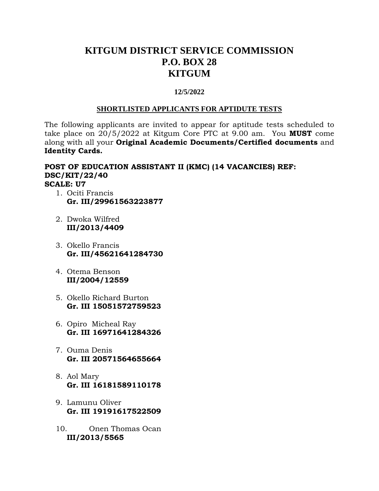# **KITGUM DISTRICT SERVICE COMMISSION P.O. BOX 28 KITGUM**

### **12/5/2022**

#### **SHORTLISTED APPLICANTS FOR APTIDUTE TESTS**

The following applicants are invited to appear for aptitude tests scheduled to take place on 20/5/2022 at Kitgum Core PTC at 9.00 am. You **MUST** come along with all your **Original Academic Documents/Certified documents** and **Identity Cards.** 

### **POST OF EDUCATION ASSISTANT II (KMC) (14 VACANCIES) REF: DSC/KIT/22/40 SCALE: U7**

- 1. Ociti Francis **Gr. III/29961563223877**
- 2. Dwoka Wilfred **III/2013/4409**
- 3. Okello Francis **Gr. III/45621641284730**
- 4. Otema Benson **III/2004/12559**
- 5. Okello Richard Burton **Gr. III 15051572759523**
- 6. Opiro Micheal Ray **Gr. III 16971641284326**
- 7. Ouma Denis **Gr. III 20571564655664**
- 8. Aol Mary **Gr. III 16181589110178**
- 9. Lamunu Oliver **Gr. III 19191617522509**
- 10. Onen Thomas Ocan **III/2013/5565**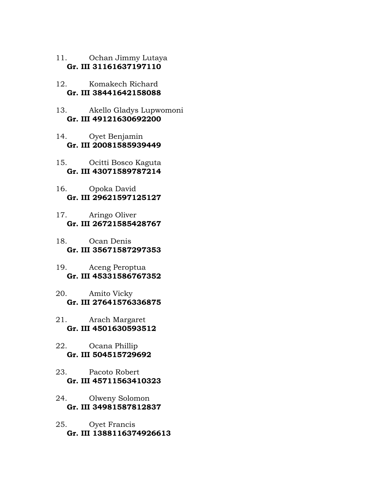- 11. Ochan Jimmy Lutaya **Gr. III 31161637197110**
- 12. Komakech Richard **Gr. III 38441642158088**
- 13. Akello Gladys Lupwomoni **Gr. III 49121630692200**
- 14. Oyet Benjamin **Gr. III 20081585939449**
- 15. Ocitti Bosco Kaguta **Gr. III 43071589787214**
- 16. Opoka David **Gr. III 29621597125127**
- 17. Aringo Oliver **Gr. III 26721585428767**
- 18. Ocan Denis **Gr. III 35671587297353**
- 19. Aceng Peroptua **Gr. III 45331586767352**
- 20. Amito Vicky **Gr. III 27641576336875**
- 21. Arach Margaret **Gr. III 4501630593512**
- 22. Ocana Phillip **Gr. III 504515729692**
- 23. Pacoto Robert **Gr. III 45711563410323**
- 24. Olweny Solomon **Gr. III 34981587812837**
- 25. Oyet Francis **Gr. III 1388116374926613**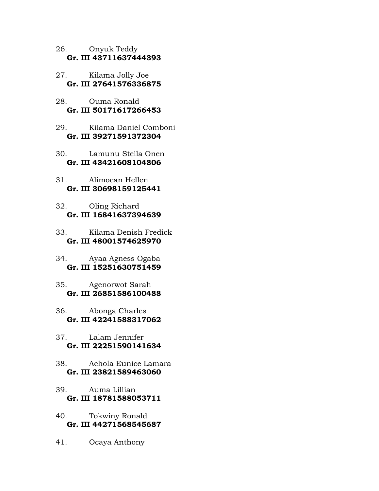- 26. Onyuk Teddy **Gr. III 43711637444393**
- 27. Kilama Jolly Joe **Gr. III 27641576336875**
- 28. Ouma Ronald **Gr. III 50171617266453**
- 29. Kilama Daniel Comboni **Gr. III 39271591372304**
- 30. Lamunu Stella Onen **Gr. III 43421608104806**
- 31. Alimocan Hellen **Gr. III 30698159125441**
- 32. Oling Richard **Gr. III 16841637394639**
- 33. Kilama Denish Fredick **Gr. III 48001574625970**
- 34. Ayaa Agness Ogaba **Gr. III 15251630751459**
- 35. Agenorwot Sarah **Gr. III 26851586100488**
- 36. Abonga Charles **Gr. III 42241588317062**
- 37. Lalam Jennifer **Gr. III 22251590141634**
- 38. Achola Eunice Lamara **Gr. III 23821589463060**
- 39. Auma Lillian **Gr. III 18781588053711**
- 40. Tokwiny Ronald **Gr. III 44271568545687**
- 41. Ocaya Anthony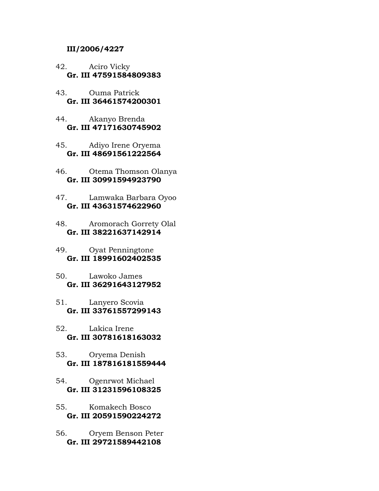#### **III/2006/4227**

- 42. Aciro Vicky **Gr. III 47591584809383**
- 43. Ouma Patrick **Gr. III 36461574200301**
- 44. Akanyo Brenda **Gr. III 47171630745902**
- 45. Adiyo Irene Oryema **Gr. III 48691561222564**
- 46. Otema Thomson Olanya **Gr. III 30991594923790**
- 47. Lamwaka Barbara Oyoo **Gr. III 43631574622960**
- 48. Aromorach Gorrety Olal **Gr. III 38221637142914**
- 49. Oyat Penningtone **Gr. III 18991602402535**
- 50. Lawoko James **Gr. III 36291643127952**
- 51. Lanyero Scovia **Gr. III 33761557299143**
- 52. Lakica Irene **Gr. III 30781618163032**
- 53. Oryema Denish **Gr. III 187816181559444**
- 54. Ogenrwot Michael **Gr. III 31231596108325**
- 55. Komakech Bosco **Gr. III 20591590224272**
- 56. Oryem Benson Peter **Gr. III 29721589442108**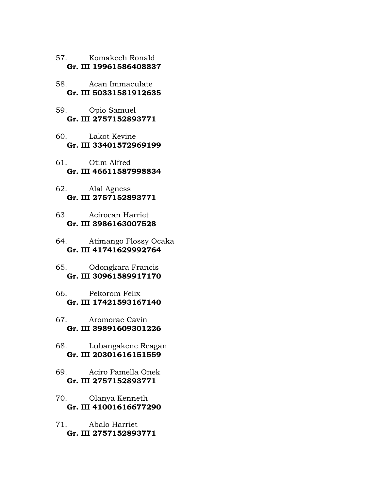57. Komakech Ronald **Gr. III 19961586408837** 

- 58. Acan Immaculate **Gr. III 50331581912635**
- 59. Opio Samuel **Gr. III 2757152893771**
- 60. Lakot Kevine **Gr. III 33401572969199**
- 61. Otim Alfred **Gr. III 46611587998834**
- 62. Alal Agness **Gr. III 2757152893771**
- 63. Acirocan Harriet **Gr. III 3986163007528**
- 64. Atimango Flossy Ocaka **Gr. III 41741629992764**
- 65. Odongkara Francis **Gr. III 30961589917170**
- 66. Pekorom Felix **Gr. III 17421593167140**
- 67. Aromorac Cavin **Gr. III 39891609301226**
- 68. Lubangakene Reagan **Gr. III 20301616151559**
- 69. Aciro Pamella Onek **Gr. III 2757152893771**
- 70. Olanya Kenneth **Gr. III 41001616677290**
- 71. Abalo Harriet **Gr. III 2757152893771**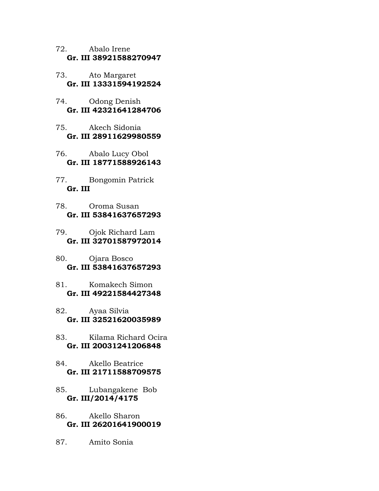- 72. Abalo Irene **Gr. III 38921588270947**
- 73. Ato Margaret **Gr. III 13331594192524**
- 74. Odong Denish **Gr. III 42321641284706**
- 75. Akech Sidonia **Gr. III 28911629980559**
- 76. Abalo Lucy Obol **Gr. III 18771588926143**
- 77. Bongomin Patrick **Gr. III**
- 78. Oroma Susan **Gr. III 53841637657293**
- 79. Ojok Richard Lam **Gr. III 32701587972014**
- 80. Ojara Bosco **Gr. III 53841637657293**
- 81. Komakech Simon **Gr. III 49221584427348**
- 82. Ayaa Silvia **Gr. III 32521620035989**
- 83. Kilama Richard Ocira **Gr. III 20031241206848**
- 84. Akello Beatrice **Gr. III 21711588709575**
- 85. Lubangakene Bob **Gr. III/2014/4175**
- 86. Akello Sharon **Gr. III 26201641900019**
- 87. Amito Sonia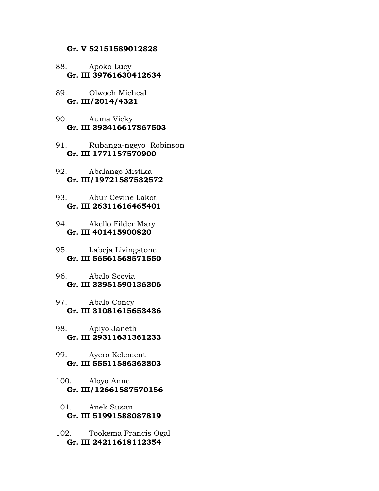#### **Gr. V 52151589012828**

#### 88. Apoko Lucy **Gr. III 39761630412634**

- 89. Olwoch Micheal **Gr. III/2014/4321**
- 90. Auma Vicky **Gr. III 393416617867503**
- 91. Rubanga-ngeyo Robinson **Gr. III 1771157570900**
- 92. Abalango Mistika **Gr. III/19721587532572**
- 93. Abur Cevine Lakot **Gr. III 26311616465401**
- 94. Akello Filder Mary **Gr. III 401415900820**
- 95. Labeja Livingstone **Gr. III 56561568571550**
- 96. Abalo Scovia **Gr. III 33951590136306**
- 97. Abalo Concy **Gr. III 31081615653436**
- 98. Apiyo Janeth **Gr. III 29311631361233**
- 99. Ayero Kelement **Gr. III 55511586363803**
- 100. Aloyo Anne **Gr. III/12661587570156**
- 101. Anek Susan **Gr. III 51991588087819**
- 102. Tookema Francis Ogal **Gr. III 24211618112354**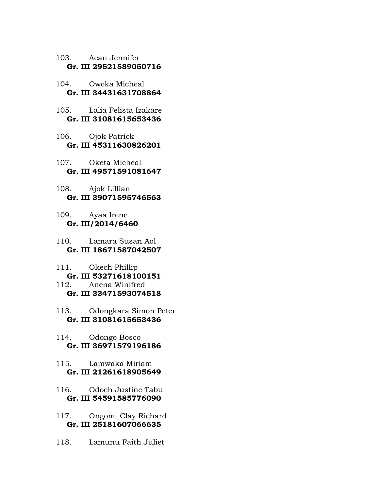103. Acan Jennifer **Gr. III 29521589050716** 

- 104. Oweka Micheal **Gr. III 34431631708864**
- 105. Lalia Felista Izakare **Gr. III 31081615653436**
- 106. Ojok Patrick **Gr. III 45311630826201**
- 107. Oketa Micheal **Gr. III 49571591081647**
- 108. Ajok Lillian **Gr. III 39071595746563**
- 109. Ayaa Irene **Gr. III/2014/6460**
- 110. Lamara Susan Aol **Gr. III 18671587042507**
- 111. Okech Phillip **Gr. III 53271618100151**
- 112. Anena Winifred **Gr. III 33471593074518**
- 113. Odongkara Simon Peter **Gr. III 31081615653436**
- 114. Odongo Bosco **Gr. III 36971579196186**
- 115. Lamwaka Miriam **Gr. III 21261618905649**
- 116. Odoch Justine Tabu **Gr. III 54591585776090**
- 117. Ongom Clay Richard **Gr. III 25181607066635**
- 118. Lamunu Faith Juliet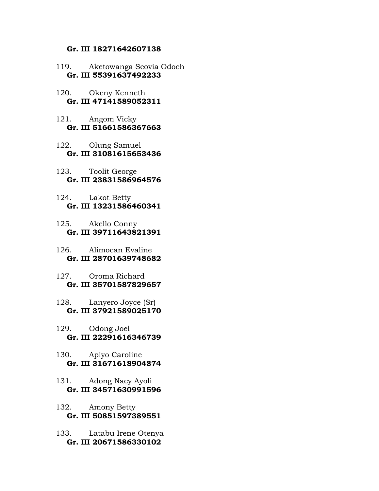### **Gr. III 18271642607138**

- 119. Aketowanga Scovia Odoch **Gr. III 55391637492233**
- 120. Okeny Kenneth **Gr. III 47141589052311**
- 121. Angom Vicky **Gr. III 51661586367663**
- 122. Olung Samuel **Gr. III 31081615653436**
- 123. Toolit George **Gr. III 23831586964576**
- 124. Lakot Betty **Gr. III 13231586460341**
- 125. Akello Conny **Gr. III 39711643821391**
- 126. Alimocan Evaline **Gr. III 28701639748682**
- 127. Oroma Richard **Gr. III 35701587829657**
- 128. Lanyero Joyce (Sr) **Gr. III 37921589025170**
- 129. Odong Joel **Gr. III 22291616346739**
- 130. Apiyo Caroline **Gr. III 31671618904874**
- 131. Adong Nacy Ayoli **Gr. III 34571630991596**
- 132. Amony Betty **Gr. III 50851597389551**
- 133. Latabu Irene Otenya **Gr. III 20671586330102**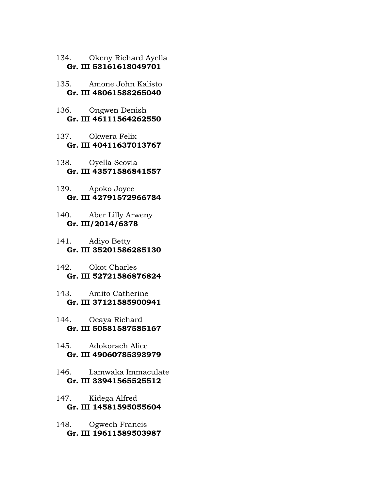- 134. Okeny Richard Ayella **Gr. III 53161618049701**
- 135. Amone John Kalisto **Gr. III 48061588265040**
- 136. Ongwen Denish **Gr. III 46111564262550**
- 137. Okwera Felix **Gr. III 40411637013767**
- 138. Oyella Scovia **Gr. III 43571586841557**
- 139. Apoko Joyce **Gr. III 42791572966784**
- 140. Aber Lilly Arweny **Gr. III/2014/6378**
- 141. Adiyo Betty **Gr. III 35201586285130**
- 142. Okot Charles **Gr. III 52721586876824**
- 143. Amito Catherine **Gr. III 37121585900941**
- 144. Ocaya Richard **Gr. III 50581587585167**
- 145. Adokorach Alice **Gr. III 49060785393979**
- 146. Lamwaka Immaculate **Gr. III 33941565525512**
- 147. Kidega Alfred **Gr. III 14581595055604**
- 148. Ogwech Francis **Gr. III 19611589503987**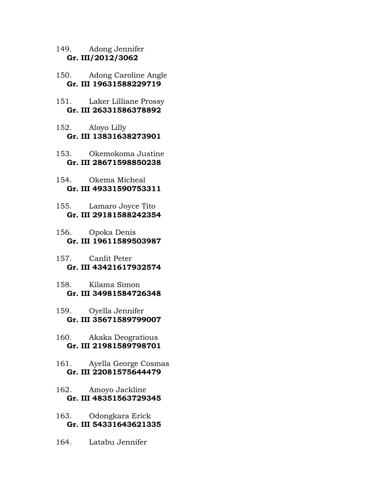149. Adong Jennifer **Gr. III/2012/3062** 

- 150. Adong Caroline Angle **Gr. III 19631588229719**
- 151. Laker Lilliane Prossy **Gr. III 26331586378892**
- 152. Aloyo Lilly **Gr. III 13831638273901**
- 153. Okemokoma Justine **Gr. III 28671598850238**
- 154. Okema Micheal **Gr. III 49331590753311**
- 155. Lamaro Joyce Tito **Gr. III 29181588242354**
- 156. Opoka Denis **Gr. III 19611589503987**
- 157. Canlit Peter **Gr. III 43421617932574**
- 158. Kilama Simon **Gr. III 34981584726348**
- 159. Oyella Jennifer **Gr. III 35671589799007**
- 160. Akaka Deogratious **Gr. III 21981589798701**
- 161. Ayella George Cosmas **Gr. III 22081575644479**
- 162. Amoyo Jackline **Gr. III 48351563729345**
- 163. Odongkara Erick **Gr. III 54331643621335**
- 164. Latabu Jennifer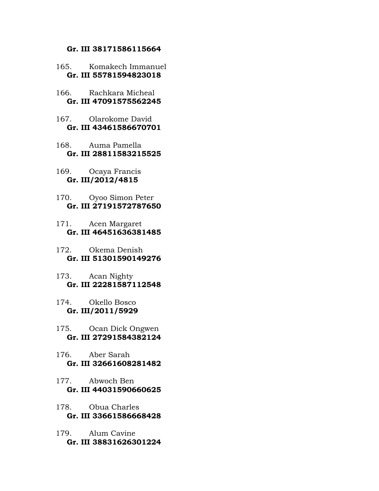#### **Gr. III 38171586115664**

- 165. Komakech Immanuel **Gr. III 55781594823018**
- 166. Rachkara Micheal **Gr. III 47091575562245**
- 167. Olarokome David **Gr. III 43461586670701**
- 168. Auma Pamella **Gr. III 28811583215525**
- 169. Ocaya Francis **Gr. III/2012/4815**
- 170. Oyoo Simon Peter **Gr. III 27191572787650**
- 171. Acen Margaret **Gr. III 46451636381485**
- 172. Okema Denish **Gr. III 51301590149276**
- 173. Acan Nighty **Gr. III 22281587112548**
- 174. Okello Bosco **Gr. III/2011/5929**
- 175. Ocan Dick Ongwen **Gr. III 27291584382124**
- 176. Aber Sarah **Gr. III 32661608281482**
- 177. Abwoch Ben **Gr. III 44031590660625**
- 178. Obua Charles **Gr. III 33661586668428**
- 179. Alum Cavine **Gr. III 38831626301224**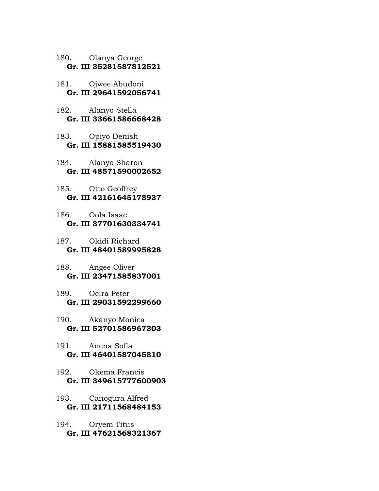- 180. Olanya George **Gr. III 35281587812521**
- 181. Ojwee Abudoni **Gr. III 29641592056741**
- 182. Alanyo Stella **Gr. III 33661586668428**
- 183. Opiyo Denish **Gr. III 15881585519430**
- 184. Alanyo Sharon **Gr. III 48571590002652**
- 185. Otto Geoffrey **Gr. III 42161645178937**
- 186. Oola Isaac **Gr. III 37701630334741**
- 187. Okidi Richard **Gr. III 48401589995828**
- 188. Angee Oliver **Gr. III 23471585837001**
- 189. Ocira Peter **Gr. III 29031592299660**
- 190. Akanyo Monica **Gr. III 52701586967303**
- 191. Anena Sofia **Gr. III 46401587045810**
- 192. Okema Francis **Gr. III 349615777600903**
- 193. Canogura Alfred **Gr. III 21711568484153**
- 194. Oryem Titus **Gr. III 47621568321367**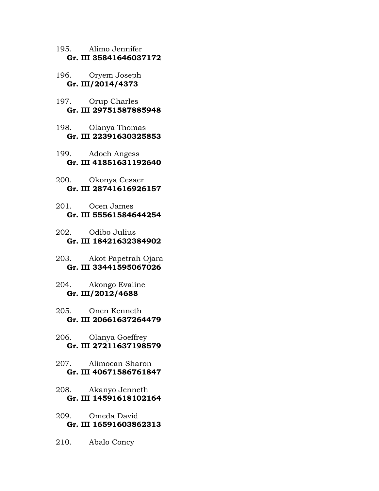- 195. Alimo Jennifer **Gr. III 35841646037172**
- 196. Oryem Joseph **Gr. III/2014/4373**
- 197. Orup Charles **Gr. III 29751587885948**
- 198. Olanya Thomas **Gr. III 22391630325853**
- 199. Adoch Angess **Gr. III 41851631192640**
- 200. Okonya Cesaer **Gr. III 28741616926157**
- 201. Ocen James **Gr. III 55561584644254**
- 202. Odibo Julius **Gr. III 18421632384902**
- 203. Akot Papetrah Ojara **Gr. III 33441595067026**
- 204. Akongo Evaline **Gr. III/2012/4688**
- 205. Onen Kenneth **Gr. III 20661637264479**
- 206. Olanya Goeffrey **Gr. III 27211637198579**
- 207. Alimocan Sharon **Gr. III 40671586761847**
- 208. Akanyo Jenneth **Gr. III 14591618102164**
- 209. Omeda David **Gr. III 16591603862313**
- 210. Abalo Concy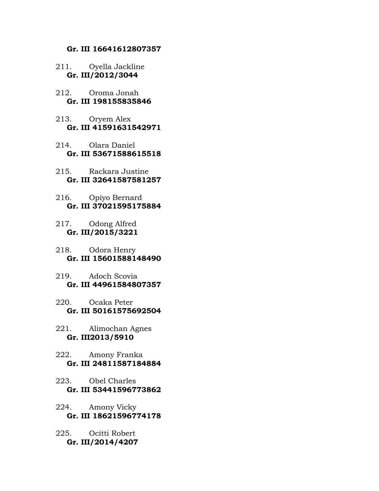#### **Gr. III 16641612807357**

- 211. Oyella Jackline **Gr. III/2012/3044**
- 212. Oroma Jonah **Gr. III 198155835846**
- 213. Oryem Alex **Gr. III 41591631542971**
- 214. Olara Daniel **Gr. III 53671588615518**
- 215. Rackara Justine **Gr. III 32641587581257**
- 216. Opiyo Bernard **Gr. III 37021595175884**
- 217. Odong Alfred **Gr. III/2015/3221**
- 218. Odora Henry **Gr. III 15601588148490**
- 219. Adoch Scovia **Gr. III 44961584807357**
- 220. Ocaka Peter **Gr. III 50161575692504**
- 221. Alimochan Agnes **Gr. III2013/5910**
- 222. Amony Franka **Gr. III 24811587184884**
- 223. Obel Charles **Gr. III 53441596773862**
- 224. Amony Vicky **Gr. III 18621596774178**
- 225. Ocitti Robert **Gr. III/2014/4207**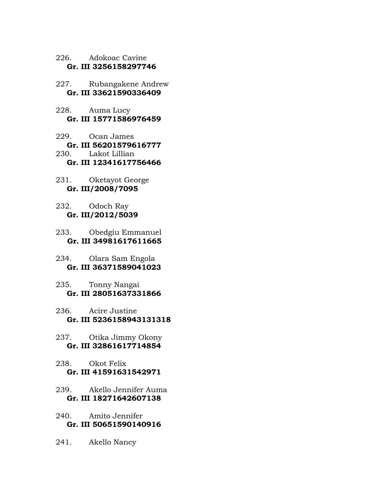226. Adokoac Cavine **Gr. III 3256158297746** 

227. Rubangakene Andrew **Gr. III 33621590336409** 

- 228. Auma Lucy **Gr. III 15771586976459**
- 229. Ocan James **Gr. III 56201579616777**<br>230. Lakot Lillian Lakot Lillian **Gr. III 12341617756466**
- 231. Oketayot George **Gr. III/2008/7095**
- 232. Odoch Ray **Gr. III/2012/5039**
- 233. Obedgiu Emmanuel  **Gr. III 34981617611665**
- 234. Olara Sam Engola **Gr. III 36371589041023**
- 235. Tonny Nangai **Gr. III 28051637331866**
- 236. Acire Justine **Gr. III 5236158943131318**
- 237. Otika Jimmy Okony **Gr. III 32861617714854**
- 238. Okot Felix **Gr. III 41591631542971**
- 239. Akello Jennifer Auma **Gr. III 18271642607138**
- 240. Amito Jennifer **Gr. III 50651590140916**
- 241. Akello Nancy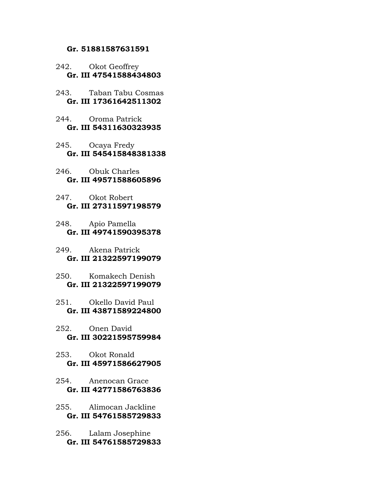#### **Gr. 51881587631591**

- 242. Okot Geoffrey **Gr. III 47541588434803**
- 243. Taban Tabu Cosmas **Gr. III 17361642511302**
- 244. Oroma Patrick **Gr. III 54311630323935**
- 245. Ocaya Fredy **Gr. III 545415848381338**
- 246. Obuk Charles **Gr. III 49571588605896**
- 247. Okot Robert **Gr. III 27311597198579**
- 248. Apio Pamella **Gr. III 49741590395378**
- 249. Akena Patrick **Gr. III 21322597199079**
- 250. Komakech Denish **Gr. III 21322597199079**
- 251. Okello David Paul **Gr. III 43871589224800**
- 252. Onen David **Gr. III 30221595759984**
- 253. Okot Ronald **Gr. III 45971586627905**
- 254. Anenocan Grace **Gr. III 42771586763836**
- 255. Alimocan Jackline **Gr. III 54761585729833**
- 256. Lalam Josephine **Gr. III 54761585729833**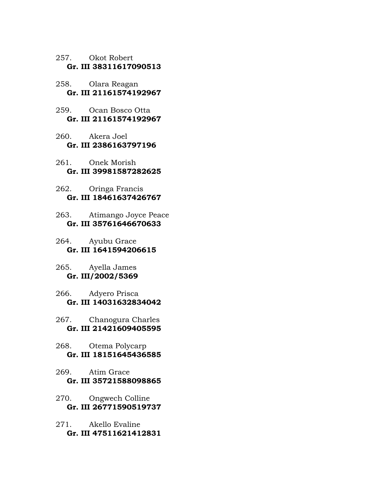- 257. Okot Robert **Gr. III 38311617090513**
- 258. Olara Reagan **Gr. III 21161574192967**
- 259. Ocan Bosco Otta **Gr. III 21161574192967**
- 260. Akera Joel **Gr. III 2386163797196**
- 261. Onek Morish **Gr. III 39981587282625**
- 262. Oringa Francis **Gr. III 18461637426767**
- 263. Atimango Joyce Peace **Gr. III 35761646670633**
- 264. Ayubu Grace **Gr. III 1641594206615**
- 265. Ayella James **Gr. III/2002/5369**
- 266. Adyero Prisca **Gr. III 14031632834042**
- 267. Chanogura Charles **Gr. III 21421609405595**
- 268. Otema Polycarp **Gr. III 18151645436585**
- 269. Atim Grace **Gr. III 35721588098865**
- 270. Ongwech Colline **Gr. III 26771590519737**
- 271. Akello Evaline **Gr. III 47511621412831**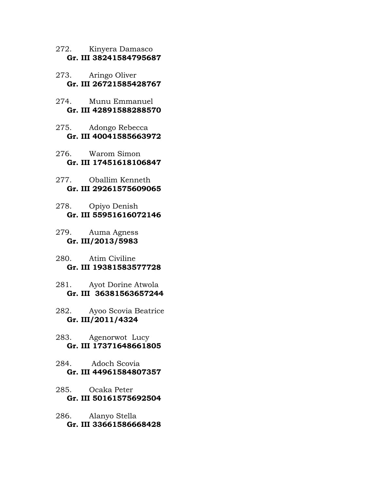- 272. Kinyera Damasco **Gr. III 38241584795687**
- 273. Aringo Oliver **Gr. III 26721585428767**
- 274. Munu Emmanuel **Gr. III 42891588288570**
- 275. Adongo Rebecca **Gr. III 40041585663972**
- 276. Warom Simon **Gr. III 17451618106847**
- 277. Oballim Kenneth **Gr. III 29261575609065**
- 278. Opiyo Denish **Gr. III 55951616072146**
- 279. Auma Agness **Gr. III/2013/5983**
- 280. Atim Civiline **Gr. III 19381583577728**
- 281. Ayot Dorine Atwola **Gr. III 36381563657244**
- 282. Ayoo Scovia Beatrice **Gr. III/2011/4324**
- 283. Agenorwot Lucy **Gr. III 17371648661805**
- 284. Adoch Scovia **Gr. III 44961584807357**
- 285. Ocaka Peter **Gr. III 50161575692504**
- 286. Alanyo Stella **Gr. III 33661586668428**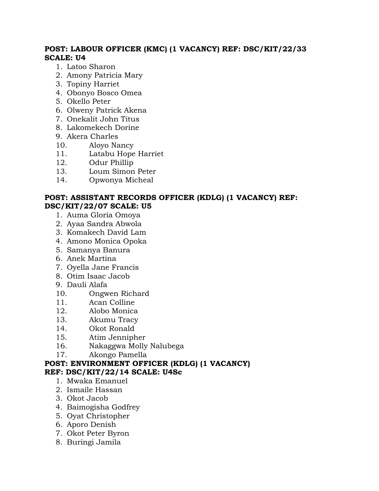# **POST: LABOUR OFFICER (KMC) (1 VACANCY) REF: DSC/KIT/22/33 SCALE: U4**

- 1. Latoo Sharon
- 2. Amony Patricia Mary
- 3. Topiny Harriet
- 4. Obonyo Bosco Omea
- 5. Okello Peter
- 6. Olweny Patrick Akena
- 7. Onekalit John Titus
- 8. Lakomekech Dorine
- 9. Akera Charles
- 10. Aloyo Nancy
- 11. Latabu Hope Harriet
- 12. Odur Phillip
- 13. Loum Simon Peter
- 14. Opwonya Micheal

# **POST: ASSISTANT RECORDS OFFICER (KDLG) (1 VACANCY) REF: DSC/KIT/22/07 SCALE: U5**

- 1. Auma Gloria Omoya
- 2. Ayaa Sandra Abwola
- 3. Komakech David Lam
- 4. Amono Monica Opoka
- 5. Samanya Banura
- 6. Anek Martina
- 7. Oyella Jane Francis
- 8. Otim Isaac Jacob
- 9. Dauli Alafa
- 10. Ongwen Richard
- 11. Acan Colline
- 12. Alobo Monica
- 13. Akumu Tracy
- 14. Okot Ronald
- 15. Atim Jennipher
- 16. Nakaggwa Molly Nalubega
- 17. Akongo Pamella

# **POST: ENVIRONMENT OFFICER (KDLG) (1 VACANCY) REF: DSC/KIT/22/14 SCALE: U4Sc**

- 1. Mwaka Emanuel
- 2. Ismaile Hassan
- 3. Okot Jacob
- 4. Baimogisha Godfrey
- 5. Oyat Christopher
- 6. Aporo Denish
- 7. Okot Peter Byron
- 8. Buringi Jamila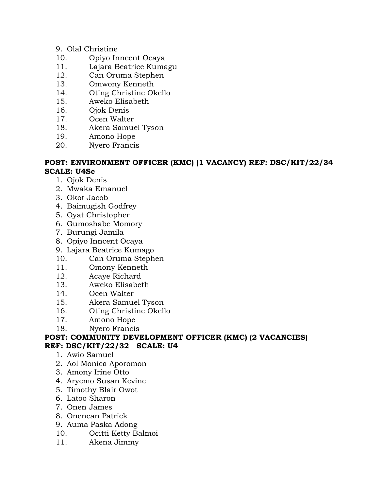# 9. Olal Christine

- 10. Opiyo Inncent Ocaya
- 11. Lajara Beatrice Kumagu
- 12. Can Oruma Stephen
- 13. Omwony Kenneth
- 14. Oting Christine Okello
- 15. Aweko Elisabeth
- 16. Ojok Denis
- 17. Ocen Walter
- 18. Akera Samuel Tyson
- 19. Amono Hope
- 20. Nyero Francis

### **POST: ENVIRONMENT OFFICER (KMC) (1 VACANCY) REF: DSC/KIT/22/34 SCALE: U4Sc**

- 1. Ojok Denis
- 2. Mwaka Emanuel
- 3. Okot Jacob
- 4. Baimugish Godfrey
- 5. Oyat Christopher
- 6. Gumoshabe Momory
- 7. Burungi Jamila
- 8. Opiyo Inncent Ocaya
- 9. Lajara Beatrice Kumago
- 10. Can Oruma Stephen
- 11. Omony Kenneth
- 12. Acaye Richard
- 13. Aweko Elisabeth
- 14. Ocen Walter
- 15. Akera Samuel Tyson
- 16. Oting Christine Okello
- 17. Amono Hope
- 18. Nyero Francis

### **POST: COMMUNITY DEVELOPMENT OFFICER (KMC) (2 VACANCIES) REF: DSC/KIT/22/32 SCALE: U4**

- 1. Awio Samuel
- 2. Aol Monica Aporomon
- 3. Amony Irine Otto
- 4. Aryemo Susan Kevine
- 5. Timothy Blair Owot
- 6. Latoo Sharon
- 7. Onen James
- 8. Onencan Patrick
- 9. Auma Paska Adong
- 10. Ocitti Ketty Balmoi
- 11. Akena Jimmy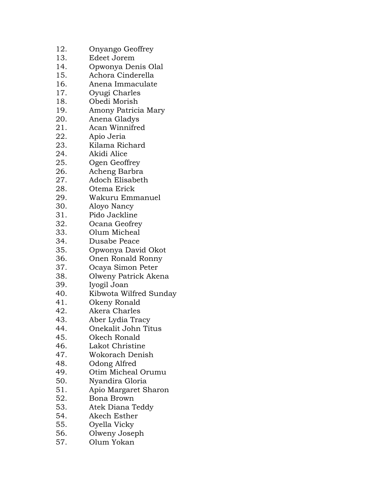- 12. Onyango Geoffrey
- 13. Edeet Jorem
- 14. Opwonya Denis Olal
- 15. Achora Cinderella
- 16. Anena Immaculate
- 17. Oyugi Charles
- 18. Obedi Morish
- 19. Amony Patricia Mary
- 20. Anena Gladys
- 21. Acan Winnifred
- 22. Apio Jeria
- 23. Kilama Richard
- 24. Akidi Alice
- 25. Ogen Geoffrey
- 26. Acheng Barbra
- 27. Adoch Elisabeth
- 28. Otema Erick
- 29. Wakuru Emmanuel
- 30. Aloyo Nancy
- 31. Pido Jackline
- 32. Ocana Geofrey
- 33. Olum Micheal
- 34. Dusabe Peace
- 35. Opwonya David Okot
- 36. Onen Ronald Ronny
- 37. Ocaya Simon Peter
- 38. Olweny Patrick Akena
- 39. Iyogil Joan
- 40. Kibwota Wilfred Sunday
- 41. Okeny Ronald<br>42. Akera Charles
- Akera Charles
- 43. Aber Lydia Tracy
- 44. Onekalit John Titus
- 45. Okech Ronald
- 46. Lakot Christine
- 47. Wokorach Denish
- 48. Odong Alfred
- 49. Otim Micheal Orumu
- 50. Nyandira Gloria
- 51. Apio Margaret Sharon
- 52. Bona Brown
- 53. Atek Diana Teddy
- 54. Akech Esther
- 55. Oyella Vicky
- 56. Olweny Joseph
- 57. Olum Yokan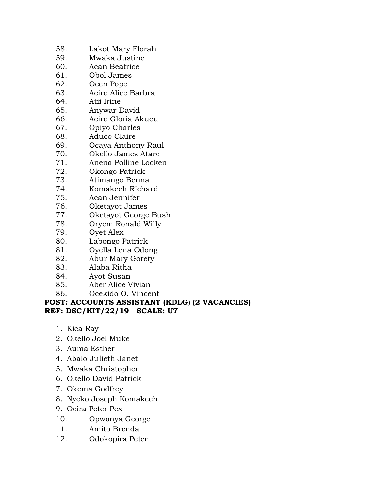- 58. Lakot Mary Florah
- 59. Mwaka Justine
- 60. Acan Beatrice
- 61. Obol James
- 62. Ocen Pope
- 63. Aciro Alice Barbra
- 64. Atii Irine
- 65. Anywar David
- 66. Aciro Gloria Akucu
- 67. Opiyo Charles
- 68. Aduco Claire
- 69. Ocaya Anthony Raul
- Okello James Atare
- 71. Anena Polline Locken
- 72. Okongo Patrick
- 73. Atimango Benna
- 74. Komakech Richard
- 75. Acan Jennifer
- 76. Oketayot James
- 77. Oketayot George Bush
- 78. Oryem Ronald Willy
- 79. Oyet Alex
- 80. Labongo Patrick
- 81. Oyella Lena Odong
- 82. Abur Mary Gorety
- 83. Alaba Ritha
- 84. Ayot Susan
- 85. Aber Alice Vivian
- 86. Ocekido O. Vincent

#### **POST: ACCOUNTS ASSISTANT (KDLG) (2 VACANCIES) REF: DSC/KIT/22/19 SCALE: U7**

- 1. Kica Ray
- 2. Okello Joel Muke
- 3. Auma Esther
- 4. Abalo Julieth Janet
- 5. Mwaka Christopher
- 6. Okello David Patrick
- 7. Okema Godfrey
- 8. Nyeko Joseph Komakech
- 9. Ocira Peter Pex
- 10. Opwonya George
- 11. Amito Brenda
- 12. Odokopira Peter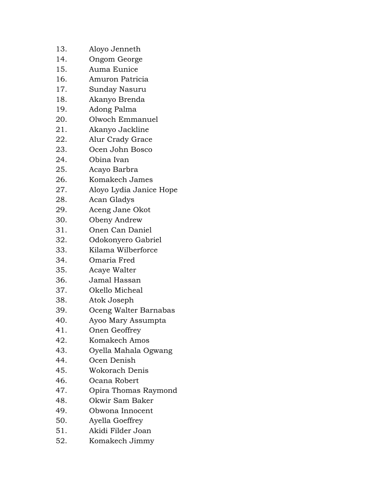- 13. Aloyo Jenneth
- 14. Ongom George
- 15. Auma Eunice
- 16. Amuron Patricia
- 17. Sunday Nasuru
- 18. Akanyo Brenda
- 19. Adong Palma
- 20. Olwoch Emmanuel
- 21. Akanyo Jackline
- 22. Alur Crady Grace
- 23. Ocen John Bosco
- 24. Obina Ivan
- 25. Acayo Barbra
- 26. Komakech James
- 27. Aloyo Lydia Janice Hope
- 28. Acan Gladys
- 29. Aceng Jane Okot
- 30. Obeny Andrew
- 31. Onen Can Daniel
- 32. Odokonyero Gabriel
- 33. Kilama Wilberforce
- 34. Omaria Fred
- 35. Acaye Walter
- 36. Jamal Hassan
- 37. Okello Micheal
- 38. Atok Joseph
- 39. Oceng Walter Barnabas
- 40. Ayoo Mary Assumpta
- 41. Onen Geoffrey
- 42. Komakech Amos
- 43. Oyella Mahala Ogwang
- 44. Ocen Denish
- 45. Wokorach Denis
- 46. Ocana Robert
- 47. Opira Thomas Raymond
- 48. Okwir Sam Baker
- 49. Obwona Innocent
- 50. Ayella Goeffrey
- 51. Akidi Filder Joan
- 52. Komakech Jimmy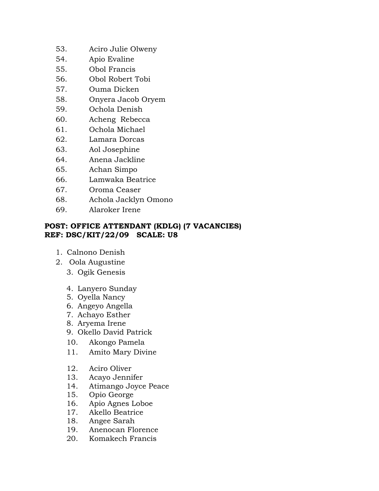- 53. Aciro Julie Olweny
- 54. Apio Evaline
- 55. Obol Francis
- 56. Obol Robert Tobi
- 57. Ouma Dicken
- 58. Onyera Jacob Oryem
- 59. Ochola Denish
- 60. Acheng Rebecca
- 61. Ochola Michael
- 62. Lamara Dorcas
- 63. Aol Josephine
- 64. Anena Jackline
- 65. Achan Simpo
- 66. Lamwaka Beatrice
- 67. Oroma Ceaser
- 68. Achola Jacklyn Omono
- 69. Alaroker Irene

### **POST: OFFICE ATTENDANT (KDLG) (7 VACANCIES) REF: DSC/KIT/22/09 SCALE: U8**

- 1. Calnono Denish
- 2. Oola Augustine
	- 3. Ogik Genesis
	- 4. Lanyero Sunday
	- 5. Oyella Nancy
	- 6. Angeyo Angella
	- 7. Achayo Esther
	- 8. Aryema Irene
	- 9. Okello David Patrick
	- 10. Akongo Pamela
	- 11. Amito Mary Divine
	- 12. Aciro Oliver
	- 13. Acayo Jennifer
	- 14. Atimango Joyce Peace
	- 15. Opio George
	- 16. Apio Agnes Loboe
	- 17. Akello Beatrice
	- 18. Angee Sarah
	- 19. Anenocan Florence
	- 20. Komakech Francis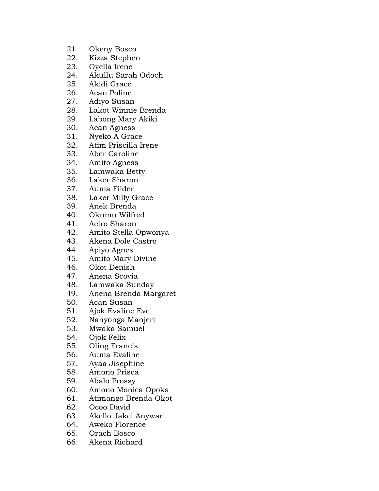- 21. Okeny Bosco
- 22. Kizza Stephen
- 23. Oyella Irene
- 24. Akullu Sarah Odoch
- 25. Akidi Grace
- 26. Acan Poline
- 27. Adiyo Susan
- 28. Lakot Winnie Brenda
- 29. Labong Mary Akiki
- 30. Acan Agness
- 31. Nyeko A Grace
- 32. Atim Priscilla Irene<br>33. Aber Caroline
- Aber Caroline
- 34. Amito Agness
- 35. Lamwaka Betty
- 36. Laker Sharon
- 37. Auma Filder
- 38. Laker Milly Grace
- 39. Anek Brenda
- 40. Okumu Wilfred
- 41. Aciro Sharon<br>42. Amito Stella (
- Amito Stella Opwonya
- 43. Akena Dole Castro
- 44. Apiyo Agnes
- 45. Amito Mary Divine
- 46. Okot Denish
- 47. Anena Scovia
- 48. Lamwaka Sunday
- 49. Anena Brenda Margaret
- 50. Acan Susan
- 51. Ajok Evaline Eve
- 52. Nanyonga Manjeri
- 53. Mwaka Samuel
- 54. Ojok Felix
- 55. Oling Francis
- 56. Auma Evaline
- 57. Ayaa Jisephine
- 58. Amono Prisca
- 59. Abalo Prossy
- 60. Amono Monica Opoka
- 61. Atimango Brenda Okot
- 62. Ocoo David
- 63. Akello Jakei Anywar
- 64. Aweko Florence
- 65. Orach Bosco
- 66. Akena Richard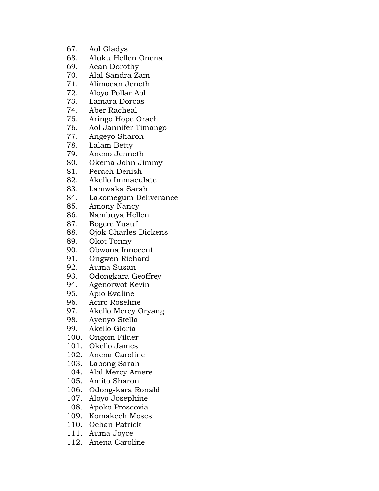- 67. Aol Gladys
- 68. Aluku Hellen Onena
- 69. Acan Dorothy
- 70. Alal Sandra Zam
- 71. Alimocan Jeneth
- 72. Aloyo Pollar Aol
- 73. Lamara Dorcas
- 74. Aber Racheal
- 75. Aringo Hope Orach
- 76. Aol Jannifer Timango
- 77. Angeyo Sharon
- 78. Lalam Betty<br>79. Aneno Jenne
- Aneno Jenneth
- 80. Okema John Jimmy
- 81. Perach Denish
- 82. Akello Immaculate
- 83. Lamwaka Sarah
- 84. Lakomegum Deliverance
- 85. Amony Nancy
- 86. Nambuya Hellen
- 87. Bogere Yusuf
- 88. Ojok Charles Dickens
- 89. Okot Tonny
- 90. Obwona Innocent
- 91. Ongwen Richard
- 92. Auma Susan
- 93. Odongkara Geoffrey
- 94. Agenorwot Kevin
- 95. Apio Evaline
- 96. Aciro Roseline<br>97. Akello Mercy C
- Akello Mercy Oryang
- 98. Ayenyo Stella
- 99. Akello Gloria
- 100. Ongom Filder
- 101. Okello James
- 102. Anena Caroline
- 103. Labong Sarah
- 104. Alal Mercy Amere
- 105. Amito Sharon
- 106. Odong-kara Ronald
- 107. Aloyo Josephine
- 108. Apoko Proscovia
- 109. Komakech Moses
- 110. Ochan Patrick
- 111. Auma Joyce
- 112. Anena Caroline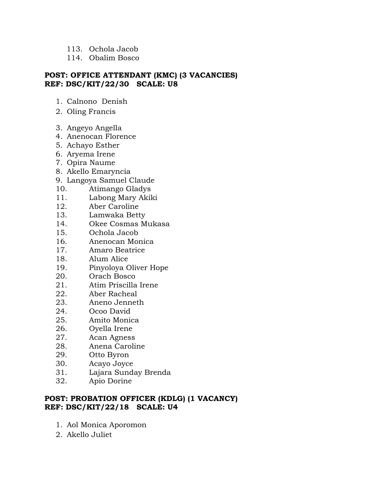- 113. Ochola Jacob
- 114. Obalim Bosco

### **POST: OFFICE ATTENDANT (KMC) (3 VACANCIES) REF: DSC/KIT/22/30 SCALE: U8**

- 1. Calnono Denish
- 2. Oling Francis
- 3. Angeyo Angella
- 4. Anenocan Florence
- 5. Achayo Esther
- 6. Aryema Irene
- 7. Opira Naume
- 8. Akello Emaryncia
- 9. Langoya Samuel Claude
- 10. Atimango Gladys
- 11. Labong Mary Akiki
- 12. Aber Caroline
- 13. Lamwaka Betty
- 14. Okee Cosmas Mukasa
- 15. Ochola Jacob
- 16. Anenocan Monica
- 17. Amaro Beatrice
- 18. Alum Alice
- 19. Pinyoloya Oliver Hope
- 20. Orach Bosco
- 21. Atim Priscilla Irene
- 22. Aber Racheal
- 23. Aneno Jenneth
- 24. Ocoo David
- 25. Amito Monica
- 26. Oyella Irene
- 27. Acan Agness
- 28. Anena Caroline
- 29. Otto Byron
- 30. Acayo Joyce
- 31. Lajara Sunday Brenda
- 32. Apio Dorine

# **POST: PROBATION OFFICER (KDLG) (1 VACANCY) REF: DSC/KIT/22/18 SCALE: U4**

- 1. Aol Monica Aporomon
- 2. Akello Juliet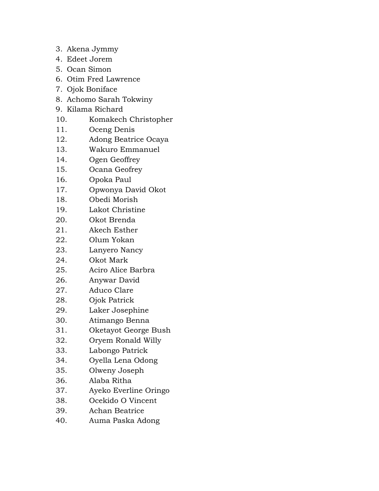- 3. Akena Jymmy
- 4. Edeet Jorem
- 5. Ocan Simon
- 6. Otim Fred Lawrence
- 7. Ojok Boniface
- 8. Achomo Sarah Tokwiny
- 9. Kilama Richard
- 10. Komakech Christopher
- 11. Oceng Denis
- 12. Adong Beatrice Ocaya
- 13. Wakuro Emmanuel
- 14. Ogen Geoffrey
- 15. Ocana Geofrey
- 16. Opoka Paul
- 17. Opwonya David Okot
- 18. Obedi Morish
- 19. Lakot Christine
- 20. Okot Brenda
- 21. Akech Esther
- 22. Olum Yokan
- 23. Lanyero Nancy
- 24. Okot Mark
- 25. Aciro Alice Barbra
- 26. Anywar David
- 27. Aduco Clare
- 28. Ojok Patrick
- 29. Laker Josephine
- 30. Atimango Benna
- 31. Oketayot George Bush
- 32. Oryem Ronald Willy
- 33. Labongo Patrick
- 34. Oyella Lena Odong
- 35. Olweny Joseph
- 36. Alaba Ritha
- 37. Ayeko Everline Oringo
- 38. Ocekido O Vincent
- 39. Achan Beatrice
- 40. Auma Paska Adong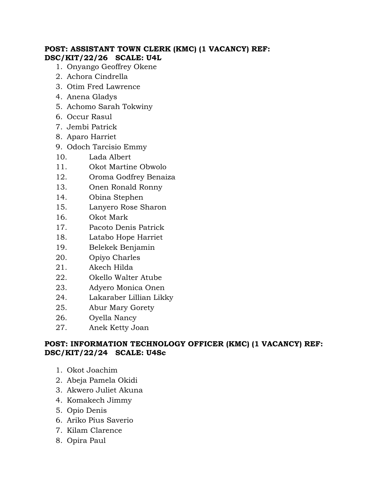### **POST: ASSISTANT TOWN CLERK (KMC) (1 VACANCY) REF: DSC/KIT/22/26 SCALE: U4L**

- 1. Onyango Geoffrey Okene
- 2. Achora Cindrella
- 3. Otim Fred Lawrence
- 4. Anena Gladys
- 5. Achomo Sarah Tokwiny
- 6. Occur Rasul
- 7. Jembi Patrick
- 8. Aparo Harriet
- 9. Odoch Tarcisio Emmy
- 10. Lada Albert
- 11. Okot Martine Obwolo
- 12. Oroma Godfrey Benaiza
- 13. Onen Ronald Ronny
- 14. Obina Stephen
- 15. Lanyero Rose Sharon
- 16. Okot Mark
- 17. Pacoto Denis Patrick
- 18. Latabo Hope Harriet
- 19. Belekek Benjamin
- 20. Opiyo Charles
- 21. Akech Hilda
- 22. Okello Walter Atube
- 23. Adyero Monica Onen
- 24. Lakaraber Lillian Likky
- 25. Abur Mary Gorety
- 26. Oyella Nancy
- 27. Anek Ketty Joan

# **POST: INFORMATION TECHNOLOGY OFFICER (KMC) (1 VACANCY) REF: DSC/KIT/22/24 SCALE: U4Sc**

- 1. Okot Joachim
- 2. Abeja Pamela Okidi
- 3. Akwero Juliet Akuna
- 4. Komakech Jimmy
- 5. Opio Denis
- 6. Ariko Pius Saverio
- 7. Kilam Clarence
- 8. Opira Paul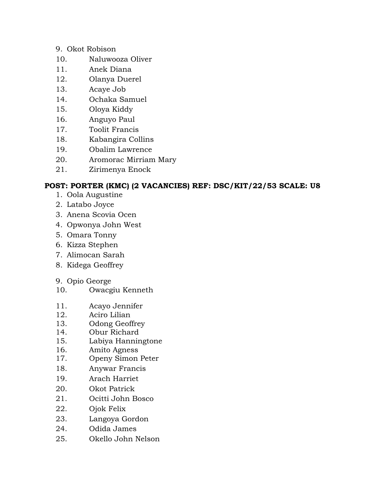- 9. Okot Robison
- 10. Naluwooza Oliver
- 11. Anek Diana
- 12. Olanya Duerel
- 13. Acaye Job
- 14. Ochaka Samuel
- 15. Oloya Kiddy
- 16. Anguyo Paul
- 17. Toolit Francis
- 18. Kabangira Collins
- 19. Obalim Lawrence
- 20. Aromorac Mirriam Mary
- 21. Zirimenya Enock

# **POST: PORTER (KMC) (2 VACANCIES) REF: DSC/KIT/22/53 SCALE: U8**

- 1. Oola Augustine
- 2. Latabo Joyce
- 3. Anena Scovia Ocen
- 4. Opwonya John West
- 5. Omara Tonny
- 6. Kizza Stephen
- 7. Alimocan Sarah
- 8. Kidega Geoffrey
- 9. Opio George
- 10. Owacgiu Kenneth
- 11. Acayo Jennifer
- 12. Aciro Lilian
- 13. Odong Geoffrey
- 14. Obur Richard
- 15. Labiya Hanningtone
- 16. Amito Agness
- 17. Openy Simon Peter
- 18. Anywar Francis
- 19. Arach Harriet
- 20. Okot Patrick
- 21. Ocitti John Bosco
- 22. Ojok Felix
- 23. Langoya Gordon
- 24. Odida James
- 25. Okello John Nelson